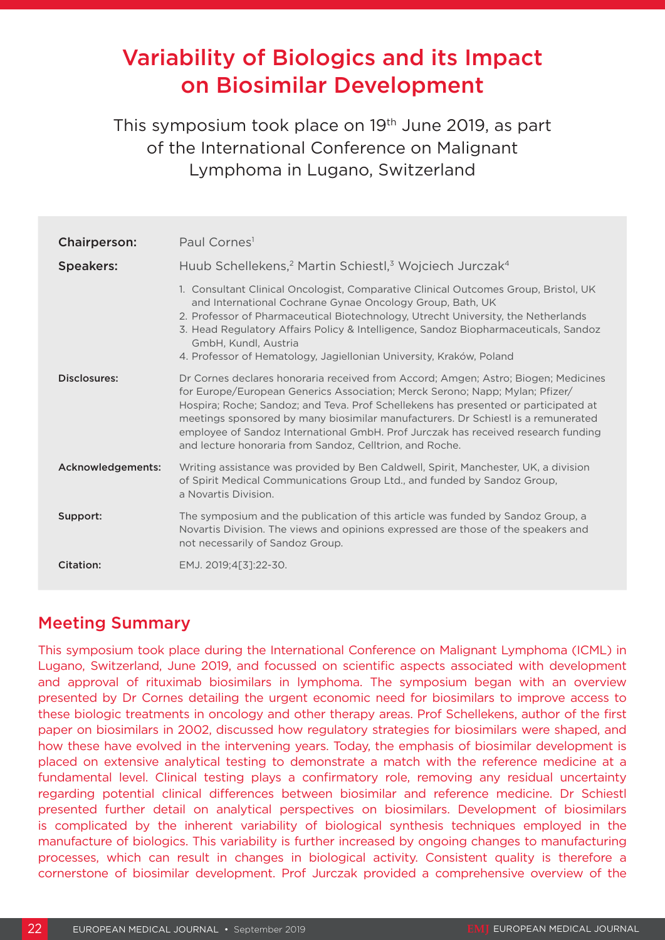# Variability of Biologics and its Impact on Biosimilar Development

This symposium took place on 19<sup>th</sup> June 2019, as part of the International Conference on Malignant Lymphoma in Lugano, Switzerland

| <b>Chairperson:</b> | Paul Cornes <sup>1</sup>                                                                                                                                                                                                                                                                                                                                                                                                                                                                        |
|---------------------|-------------------------------------------------------------------------------------------------------------------------------------------------------------------------------------------------------------------------------------------------------------------------------------------------------------------------------------------------------------------------------------------------------------------------------------------------------------------------------------------------|
| <b>Speakers:</b>    | Huub Schellekens, <sup>2</sup> Martin Schiestl, <sup>3</sup> Wojciech Jurczak <sup>4</sup>                                                                                                                                                                                                                                                                                                                                                                                                      |
|                     | 1. Consultant Clinical Oncologist, Comparative Clinical Outcomes Group, Bristol, UK<br>and International Cochrane Gynae Oncology Group, Bath, UK<br>2. Professor of Pharmaceutical Biotechnology, Utrecht University, the Netherlands<br>3. Head Regulatory Affairs Policy & Intelligence, Sandoz Biopharmaceuticals, Sandoz<br>GmbH, Kundl, Austria<br>4. Professor of Hematology, Jagiellonian University, Kraków, Poland                                                                     |
| Disclosures:        | Dr Cornes declares honoraria received from Accord; Amgen; Astro; Biogen; Medicines<br>for Europe/European Generics Association; Merck Serono; Napp; Mylan; Pfizer/<br>Hospira; Roche; Sandoz; and Teva. Prof Schellekens has presented or participated at<br>meetings sponsored by many biosimilar manufacturers. Dr Schiestl is a remunerated<br>employee of Sandoz International GmbH. Prof Jurczak has received research funding<br>and lecture honoraria from Sandoz, Celltrion, and Roche. |
| Acknowledgements:   | Writing assistance was provided by Ben Caldwell, Spirit, Manchester, UK, a division<br>of Spirit Medical Communications Group Ltd., and funded by Sandoz Group,<br>a Novartis Division.                                                                                                                                                                                                                                                                                                         |
| Support:            | The symposium and the publication of this article was funded by Sandoz Group, a<br>Novartis Division. The views and opinions expressed are those of the speakers and<br>not necessarily of Sandoz Group.                                                                                                                                                                                                                                                                                        |
| Citation:           | EMJ. 2019;4[3]:22-30.                                                                                                                                                                                                                                                                                                                                                                                                                                                                           |

## Meeting Summary

This symposium took place during the International Conference on Malignant Lymphoma (ICML) in Lugano, Switzerland, June 2019, and focussed on scientific aspects associated with development and approval of rituximab biosimilars in lymphoma. The symposium began with an overview presented by Dr Cornes detailing the urgent economic need for biosimilars to improve access to these biologic treatments in oncology and other therapy areas. Prof Schellekens, author of the first paper on biosimilars in 2002, discussed how regulatory strategies for biosimilars were shaped, and how these have evolved in the intervening years. Today, the emphasis of biosimilar development is placed on extensive analytical testing to demonstrate a match with the reference medicine at a fundamental level. Clinical testing plays a confirmatory role, removing any residual uncertainty regarding potential clinical differences between biosimilar and reference medicine. Dr Schiestl presented further detail on analytical perspectives on biosimilars. Development of biosimilars is complicated by the inherent variability of biological synthesis techniques employed in the manufacture of biologics. This variability is further increased by ongoing changes to manufacturing processes, which can result in changes in biological activity. Consistent quality is therefore a cornerstone of biosimilar development. Prof Jurczak provided a comprehensive overview of the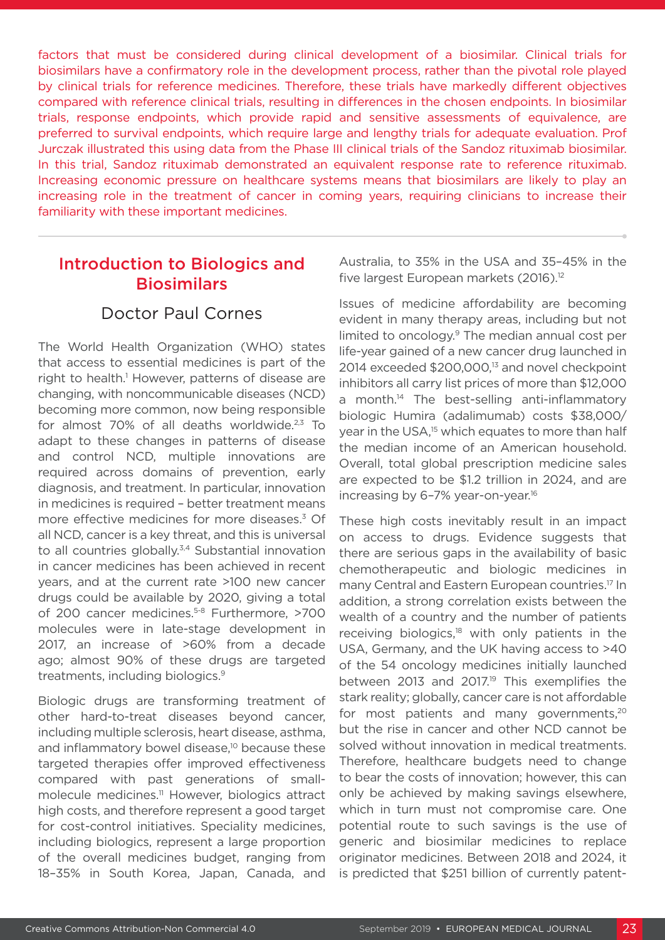factors that must be considered during clinical development of a biosimilar. Clinical trials for biosimilars have a confirmatory role in the development process, rather than the pivotal role played by clinical trials for reference medicines. Therefore, these trials have markedly different objectives compared with reference clinical trials, resulting in differences in the chosen endpoints. In biosimilar trials, response endpoints, which provide rapid and sensitive assessments of equivalence, are preferred to survival endpoints, which require large and lengthy trials for adequate evaluation. Prof Jurczak illustrated this using data from the Phase III clinical trials of the Sandoz rituximab biosimilar. In this trial, Sandoz rituximab demonstrated an equivalent response rate to reference rituximab. Increasing economic pressure on healthcare systems means that biosimilars are likely to play an increasing role in the treatment of cancer in coming years, requiring clinicians to increase their familiarity with these important medicines.

## Introduction to Biologics and **Biosimilars**

### Doctor Paul Cornes

The World Health Organization (WHO) states that access to essential medicines is part of the right to health.<sup>1</sup> However, patterns of disease are changing, with noncommunicable diseases (NCD) becoming more common, now being responsible for almost  $70\%$  of all deaths worldwide.<sup>2,3</sup> To adapt to these changes in patterns of disease and control NCD, multiple innovations are required across domains of prevention, early diagnosis, and treatment. In particular, innovation in medicines is required – better treatment means more effective medicines for more diseases.3 Of all NCD, cancer is a key threat, and this is universal to all countries globally.<sup>3,4</sup> Substantial innovation in cancer medicines has been achieved in recent years, and at the current rate >100 new cancer drugs could be available by 2020, giving a total of 200 cancer medicines.5-8 Furthermore, >700 molecules were in late-stage development in 2017, an increase of >60% from a decade ago; almost 90% of these drugs are targeted treatments, including biologics.9

Biologic drugs are transforming treatment of other hard-to-treat diseases beyond cancer, including multiple sclerosis, heart disease, asthma, and inflammatory bowel disease,<sup>10</sup> because these targeted therapies offer improved effectiveness compared with past generations of smallmolecule medicines.<sup>11</sup> However, biologics attract high costs, and therefore represent a good target for cost-control initiatives. Speciality medicines, including biologics, represent a large proportion of the overall medicines budget, ranging from 18–35% in South Korea, Japan, Canada, and

Australia, to 35% in the USA and 35–45% in the five largest European markets (2016).<sup>12</sup>

Issues of medicine affordability are becoming evident in many therapy areas, including but not limited to oncology.<sup>9</sup> The median annual cost per life-year gained of a new cancer drug launched in 2014 exceeded \$200,000,<sup>13</sup> and novel checkpoint inhibitors all carry list prices of more than \$12,000 a month.<sup>14</sup> The best-selling anti-inflammatory biologic Humira (adalimumab) costs \$38,000/ year in the USA,<sup>15</sup> which equates to more than half the median income of an American household. Overall, total global prescription medicine sales are expected to be \$1.2 trillion in 2024, and are increasing by 6–7% year-on-year.16

These high costs inevitably result in an impact on access to drugs. Evidence suggests that there are serious gaps in the availability of basic chemotherapeutic and biologic medicines in many Central and Eastern European countries.17 In addition, a strong correlation exists between the wealth of a country and the number of patients receiving biologics, $18$  with only patients in the USA, Germany, and the UK having access to >40 of the 54 oncology medicines initially launched between 2013 and 2017.<sup>19</sup> This exemplifies the stark reality; globally, cancer care is not affordable for most patients and many governments, $20$ but the rise in cancer and other NCD cannot be solved without innovation in medical treatments. Therefore, healthcare budgets need to change to bear the costs of innovation; however, this can only be achieved by making savings elsewhere, which in turn must not compromise care. One potential route to such savings is the use of generic and biosimilar medicines to replace originator medicines. Between 2018 and 2024, it is predicted that \$251 billion of currently patent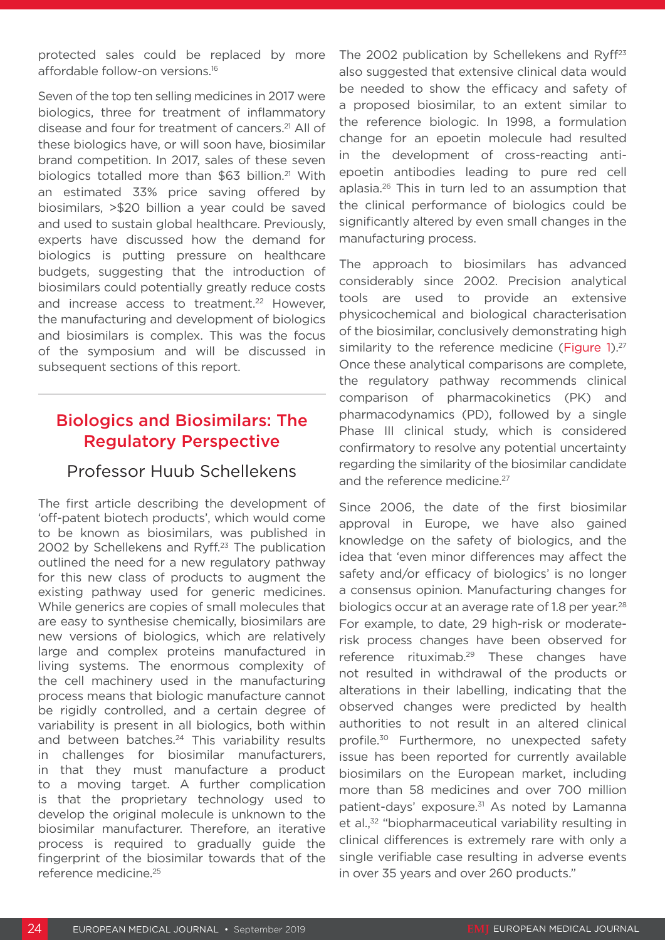protected sales could be replaced by more affordable follow-on versions.16

Seven of the top ten selling medicines in 2017 were biologics, three for treatment of inflammatory disease and four for treatment of cancers.21 All of these biologics have, or will soon have, biosimilar brand competition. In 2017, sales of these seven biologics totalled more than \$63 billion.<sup>21</sup> With an estimated 33% price saving offered by biosimilars, >\$20 billion a year could be saved and used to sustain global healthcare. Previously, experts have discussed how the demand for biologics is putting pressure on healthcare budgets, suggesting that the introduction of biosimilars could potentially greatly reduce costs and increase access to treatment.<sup>22</sup> However, the manufacturing and development of biologics and biosimilars is complex. This was the focus of the symposium and will be discussed in subsequent sections of this report.

### Biologics and Biosimilars: The Regulatory Perspective

### Professor Huub Schellekens

The first article describing the development of 'off-patent biotech products', which would come to be known as biosimilars, was published in 2002 by Schellekens and Ryff.<sup>23</sup> The publication outlined the need for a new regulatory pathway for this new class of products to augment the existing pathway used for generic medicines. While generics are copies of small molecules that are easy to synthesise chemically, biosimilars are new versions of biologics, which are relatively large and complex proteins manufactured in living systems. The enormous complexity of the cell machinery used in the manufacturing process means that biologic manufacture cannot be rigidly controlled, and a certain degree of variability is present in all biologics, both within and between batches.<sup>24</sup> This variability results in challenges for biosimilar manufacturers, in that they must manufacture a product to a moving target. A further complication is that the proprietary technology used to develop the original molecule is unknown to the biosimilar manufacturer. Therefore, an iterative process is required to gradually guide the fingerprint of the biosimilar towards that of the reference medicine.25

The 2002 publication by Schellekens and Ryff $23$ also suggested that extensive clinical data would be needed to show the efficacy and safety of a proposed biosimilar, to an extent similar to the reference biologic. In 1998, a formulation change for an epoetin molecule had resulted in the development of cross-reacting antiepoetin antibodies leading to pure red cell aplasia.26 This in turn led to an assumption that the clinical performance of biologics could be significantly altered by even small changes in the manufacturing process.

The approach to biosimilars has advanced considerably since 2002. Precision analytical tools are used to provide an extensive physicochemical and biological characterisation of the biosimilar, conclusively demonstrating high similarity to the reference medicine (Figure 1). $27$ Once these analytical comparisons are complete, the regulatory pathway recommends clinical comparison of pharmacokinetics (PK) and pharmacodynamics (PD), followed by a single Phase III clinical study, which is considered confirmatory to resolve any potential uncertainty regarding the similarity of the biosimilar candidate and the reference medicine.<sup>27</sup>

Since 2006, the date of the first biosimilar approval in Europe, we have also gained knowledge on the safety of biologics, and the idea that 'even minor differences may affect the safety and/or efficacy of biologics' is no longer a consensus opinion. Manufacturing changes for biologics occur at an average rate of 1.8 per year.<sup>28</sup> For example, to date, 29 high-risk or moderaterisk process changes have been observed for reference rituximab.<sup>29</sup> These changes have not resulted in withdrawal of the products or alterations in their labelling, indicating that the observed changes were predicted by health authorities to not result in an altered clinical profile.30 Furthermore, no unexpected safety issue has been reported for currently available biosimilars on the European market, including more than 58 medicines and over 700 million patient-days' exposure.<sup>31</sup> As noted by Lamanna et al.,<sup>32</sup> "biopharmaceutical variability resulting in clinical differences is extremely rare with only a single verifiable case resulting in adverse events in over 35 years and over 260 products."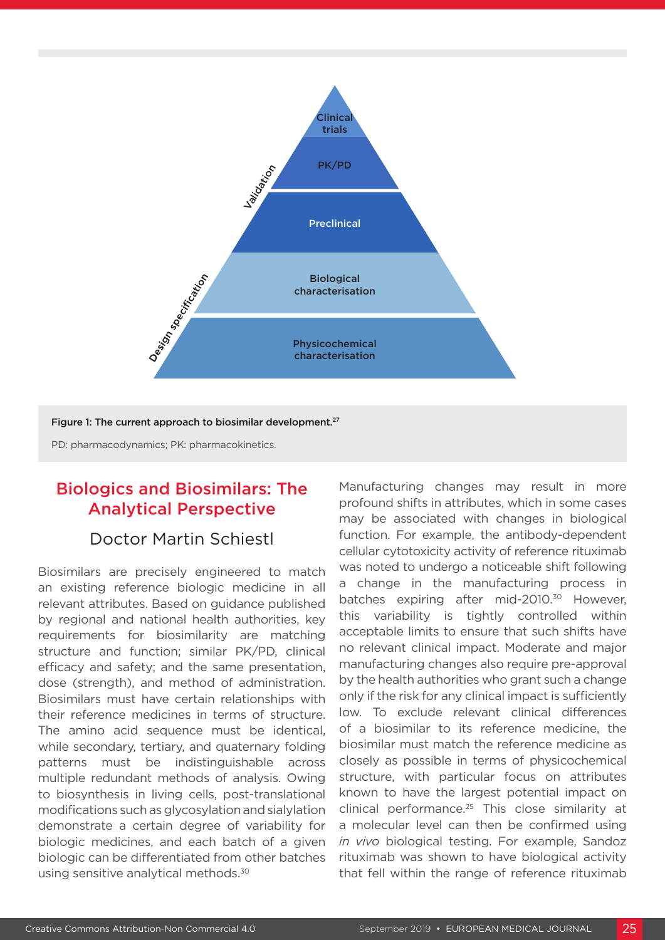

Figure 1: The current approach to biosimilar development.<sup>27</sup>

PD: pharmacodynamics; PK: pharmacokinetics.

## Biologics and Biosimilars: The Analytical Perspective

#### Doctor Martin Schiestl

Biosimilars are precisely engineered to match an existing reference biologic medicine in all relevant attributes. Based on guidance published by regional and national health authorities, key requirements for biosimilarity are matching structure and function; similar PK/PD, clinical efficacy and safety; and the same presentation, dose (strength), and method of administration. Biosimilars must have certain relationships with their reference medicines in terms of structure. The amino acid sequence must be identical, while secondary, tertiary, and quaternary folding patterns must be indistinguishable across multiple redundant methods of analysis. Owing to biosynthesis in living cells, post-translational modifications such as glycosylation and sialylation demonstrate a certain degree of variability for biologic medicines, and each batch of a given biologic can be differentiated from other batches using sensitive analytical methods.30

Manufacturing changes may result in more profound shifts in attributes, which in some cases may be associated with changes in biological function. For example, the antibody-dependent cellular cytotoxicity activity of reference rituximab was noted to undergo a noticeable shift following a change in the manufacturing process in batches expiring after mid-2010.<sup>30</sup> However, this variability is tightly controlled within acceptable limits to ensure that such shifts have no relevant clinical impact. Moderate and major manufacturing changes also require pre-approval by the health authorities who grant such a change only if the risk for any clinical impact is sufficiently low. To exclude relevant clinical differences of a biosimilar to its reference medicine, the biosimilar must match the reference medicine as closely as possible in terms of physicochemical structure, with particular focus on attributes known to have the largest potential impact on clinical performance.25 This close similarity at a molecular level can then be confirmed using *in vivo* biological testing. For example, Sandoz rituximab was shown to have biological activity that fell within the range of reference rituximab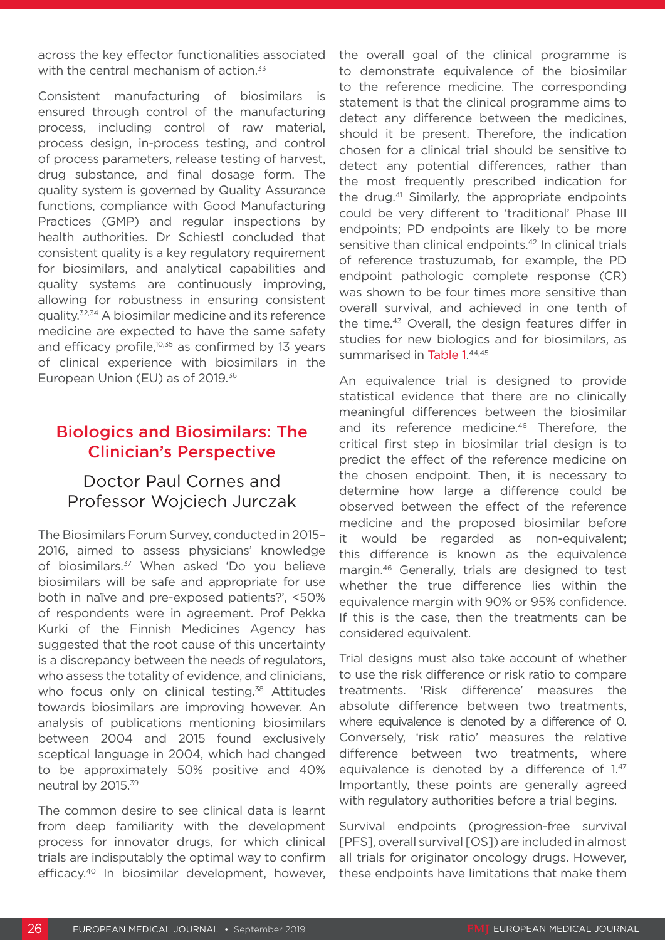across the key effector functionalities associated with the central mechanism of action.<sup>33</sup>

Consistent manufacturing of biosimilars is ensured through control of the manufacturing process, including control of raw material, process design, in-process testing, and control of process parameters, release testing of harvest, drug substance, and final dosage form. The quality system is governed by Quality Assurance functions, compliance with Good Manufacturing Practices (GMP) and regular inspections by health authorities. Dr Schiestl concluded that consistent quality is a key regulatory requirement for biosimilars, and analytical capabilities and quality systems are continuously improving, allowing for robustness in ensuring consistent quality.32,34 A biosimilar medicine and its reference medicine are expected to have the same safety and efficacy profile, $10,35$  as confirmed by 13 years of clinical experience with biosimilars in the European Union (EU) as of 2019.<sup>36</sup>

## Biologics and Biosimilars: The Clinician's Perspective

### Doctor Paul Cornes and Professor Wojciech Jurczak

The Biosimilars Forum Survey, conducted in 2015– 2016, aimed to assess physicians' knowledge of biosimilars.<sup>37</sup> When asked 'Do you believe biosimilars will be safe and appropriate for use both in naïve and pre-exposed patients?', <50% of respondents were in agreement. Prof Pekka Kurki of the Finnish Medicines Agency has suggested that the root cause of this uncertainty is a discrepancy between the needs of regulators, who assess the totality of evidence, and clinicians, who focus only on clinical testing.<sup>38</sup> Attitudes towards biosimilars are improving however. An analysis of publications mentioning biosimilars between 2004 and 2015 found exclusively sceptical language in 2004, which had changed to be approximately 50% positive and 40% neutral by 2015.39

The common desire to see clinical data is learnt from deep familiarity with the development process for innovator drugs, for which clinical trials are indisputably the optimal way to confirm efficacy.40 In biosimilar development, however,

the overall goal of the clinical programme is to demonstrate equivalence of the biosimilar to the reference medicine. The corresponding statement is that the clinical programme aims to detect any difference between the medicines, should it be present. Therefore, the indication chosen for a clinical trial should be sensitive to detect any potential differences, rather than the most frequently prescribed indication for the drug.<sup>41</sup> Similarly, the appropriate endpoints could be very different to 'traditional' Phase III endpoints; PD endpoints are likely to be more sensitive than clinical endpoints.<sup>42</sup> In clinical trials of reference trastuzumab, for example, the PD endpoint pathologic complete response (CR) was shown to be four times more sensitive than overall survival, and achieved in one tenth of the time.<sup>43</sup> Overall, the design features differ in studies for new biologics and for biosimilars, as summarised in Table 1.44,45

An equivalence trial is designed to provide statistical evidence that there are no clinically meaningful differences between the biosimilar and its reference medicine.<sup>46</sup> Therefore, the critical first step in biosimilar trial design is to predict the effect of the reference medicine on the chosen endpoint. Then, it is necessary to determine how large a difference could be observed between the effect of the reference medicine and the proposed biosimilar before it would be regarded as non-equivalent; this difference is known as the equivalence margin.46 Generally, trials are designed to test whether the true difference lies within the equivalence margin with 90% or 95% confidence. If this is the case, then the treatments can be considered equivalent.

Trial designs must also take account of whether to use the risk difference or risk ratio to compare treatments. 'Risk difference' measures the absolute difference between two treatments, where equivalence is denoted by a difference of 0. Conversely, 'risk ratio' measures the relative difference between two treatments, where equivalence is denoted by a difference of 1.47 Importantly, these points are generally agreed with regulatory authorities before a trial begins.

Survival endpoints (progression-free survival [PFS], overall survival [OS]) are included in almost all trials for originator oncology drugs. However, these endpoints have limitations that make them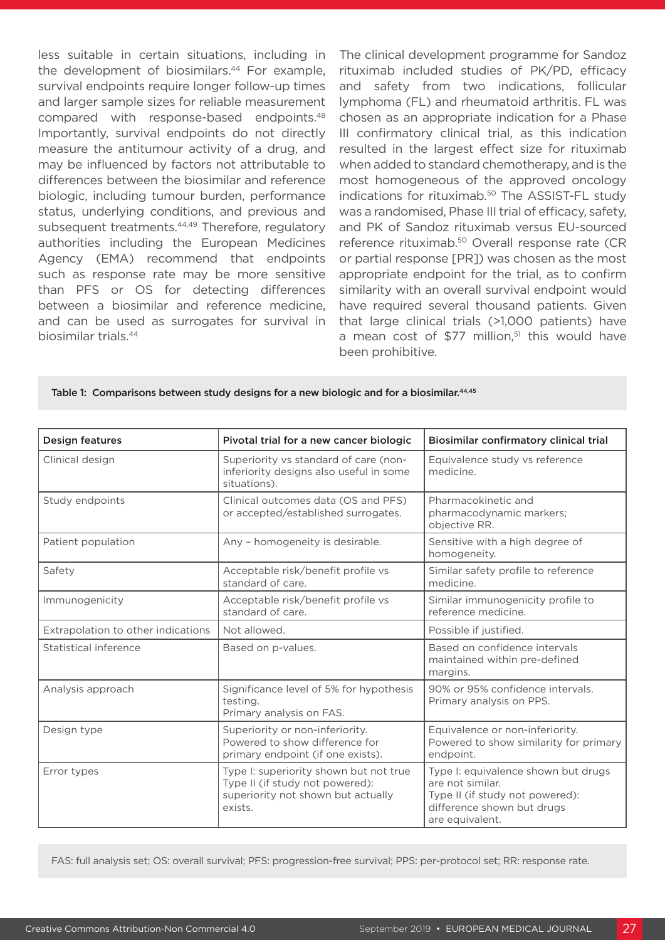less suitable in certain situations, including in the development of biosimilars.<sup>44</sup> For example. survival endpoints require longer follow-up times and larger sample sizes for reliable measurement compared with response-based endpoints.48 Importantly, survival endpoints do not directly measure the antitumour activity of a drug, and may be influenced by factors not attributable to differences between the biosimilar and reference biologic, including tumour burden, performance status, underlying conditions, and previous and subsequent treatments.<sup>44,49</sup> Therefore, regulatory authorities including the European Medicines Agency (EMA) recommend that endpoints such as response rate may be more sensitive than PFS or OS for detecting differences between a biosimilar and reference medicine, and can be used as surrogates for survival in biosimilar trials.44

The clinical development programme for Sandoz rituximab included studies of PK/PD, efficacy and safety from two indications, follicular lymphoma (FL) and rheumatoid arthritis. FL was chosen as an appropriate indication for a Phase III confirmatory clinical trial, as this indication resulted in the largest effect size for rituximab when added to standard chemotherapy, and is the most homogeneous of the approved oncology indications for rituximab.<sup>50</sup> The ASSIST-FL study was a randomised, Phase III trial of efficacy, safety, and PK of Sandoz rituximab versus EU-sourced reference rituximab.50 Overall response rate (CR or partial response [PR]) was chosen as the most appropriate endpoint for the trial, as to confirm similarity with an overall survival endpoint would have required several thousand patients. Given that large clinical trials (>1,000 patients) have a mean cost of \$77 million.<sup>51</sup> this would have been prohibitive.

|  |  |  |  |  |  |  | Table 1: Comparisons between study designs for a new biologic and for a biosimilar. <sup>44,45</sup> |
|--|--|--|--|--|--|--|------------------------------------------------------------------------------------------------------|
|--|--|--|--|--|--|--|------------------------------------------------------------------------------------------------------|

| <b>Design features</b>             | Pivotal trial for a new cancer biologic                                                                                    | Biosimilar confirmatory clinical trial                                                                                                      |  |  |
|------------------------------------|----------------------------------------------------------------------------------------------------------------------------|---------------------------------------------------------------------------------------------------------------------------------------------|--|--|
| Clinical design                    | Superiority vs standard of care (non-<br>inferiority designs also useful in some<br>situations).                           | Equivalence study vs reference<br>medicine.                                                                                                 |  |  |
| Study endpoints                    | Clinical outcomes data (OS and PFS)<br>or accepted/established surrogates.                                                 | Pharmacokinetic and<br>pharmacodynamic markers;<br>objective RR.                                                                            |  |  |
| Patient population                 | Any - homogeneity is desirable.                                                                                            | Sensitive with a high degree of<br>homogeneity.                                                                                             |  |  |
| Safety                             | Acceptable risk/benefit profile vs<br>standard of care.                                                                    | Similar safety profile to reference<br>medicine.                                                                                            |  |  |
| Immunogenicity                     | Acceptable risk/benefit profile vs<br>standard of care.                                                                    | Similar immunogenicity profile to<br>reference medicine.                                                                                    |  |  |
| Extrapolation to other indications | Not allowed.                                                                                                               | Possible if justified.                                                                                                                      |  |  |
| Statistical inference              | Based on p-values.                                                                                                         | Based on confidence intervals<br>maintained within pre-defined<br>margins.                                                                  |  |  |
| Analysis approach                  | Significance level of 5% for hypothesis<br>testing.<br>Primary analysis on FAS.                                            | 90% or 95% confidence intervals.<br>Primary analysis on PPS.                                                                                |  |  |
| Design type                        | Superiority or non-inferiority.<br>Powered to show difference for<br>primary endpoint (if one exists).                     | Equivalence or non-inferiority.<br>Powered to show similarity for primary<br>endpoint.                                                      |  |  |
| Error types                        | Type I: superiority shown but not true<br>Type II (if study not powered):<br>superiority not shown but actually<br>exists. | Type I: equivalence shown but drugs<br>are not similar.<br>Type II (if study not powered):<br>difference shown but drugs<br>are equivalent. |  |  |

FAS: full analysis set; OS: overall survival; PFS: progression-free survival; PPS: per-protocol set; RR: response rate.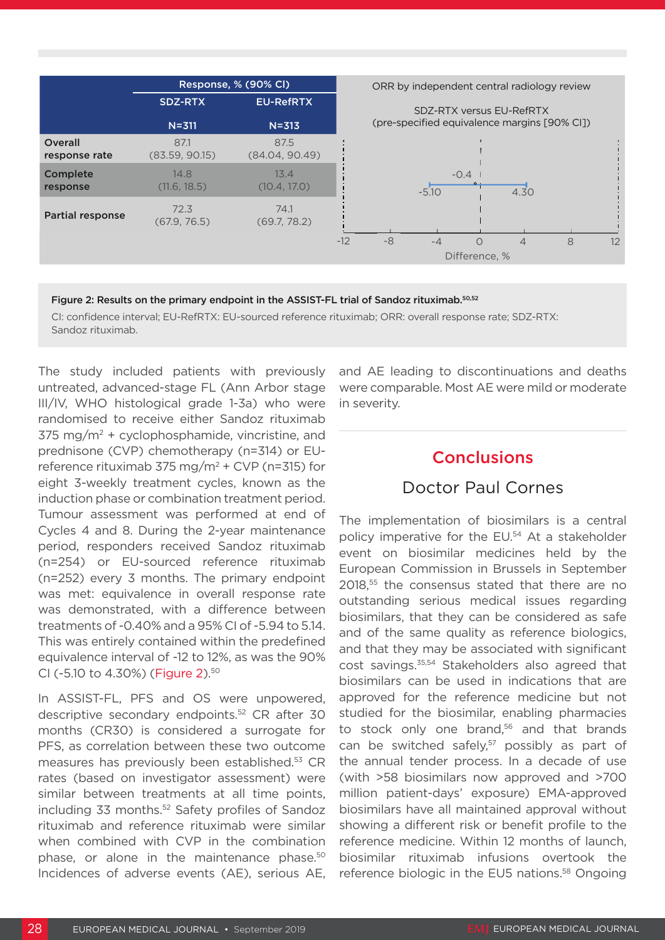

#### Figure 2: Results on the primary endpoint in the ASSIST-FL trial of Sandoz rituximab.<sup>50,52</sup>

CI: confidence interval; EU-RefRTX: EU-sourced reference rituximab; ORR: overall response rate; SDZ-RTX: Sandoz rituximab.

The study included patients with previously untreated, advanced-stage FL (Ann Arbor stage III/IV, WHO histological grade 1-3a) who were randomised to receive either Sandoz rituximab  $375 \text{ mg/m}^2$  + cyclophosphamide, vincristine, and prednisone (CVP) chemotherapy (n=314) or EUreference rituximab 375 mg/m<sup>2</sup> + CVP (n=315) for eight 3-weekly treatment cycles, known as the induction phase or combination treatment period. Tumour assessment was performed at end of Cycles 4 and 8. During the 2-year maintenance period, responders received Sandoz rituximab (n=254) or EU-sourced reference rituximab (n=252) every 3 months. The primary endpoint was met: equivalence in overall response rate was demonstrated, with a difference between treatments of -0.40% and a 95% CI of -5.94 to 5.14. This was entirely contained within the predefined equivalence interval of -12 to 12%, as was the 90% CI (-5.10 to 4.30%) (Figure 2).50

In ASSIST-FL, PFS and OS were unpowered, descriptive secondary endpoints.52 CR after 30 months (CR30) is considered a surrogate for PFS, as correlation between these two outcome measures has previously been established.<sup>53</sup> CR rates (based on investigator assessment) were similar between treatments at all time points, including 33 months.<sup>52</sup> Safety profiles of Sandoz rituximab and reference rituximab were similar when combined with CVP in the combination phase, or alone in the maintenance phase.50 Incidences of adverse events (AE), serious AE, and AE leading to discontinuations and deaths were comparable. Most AE were mild or moderate in severity.

#### Conclusions

#### Doctor Paul Cornes

The implementation of biosimilars is a central policy imperative for the EU.54 At a stakeholder event on biosimilar medicines held by the European Commission in Brussels in September 2018,55 the consensus stated that there are no outstanding serious medical issues regarding biosimilars, that they can be considered as safe and of the same quality as reference biologics, and that they may be associated with significant cost savings.35,54 Stakeholders also agreed that biosimilars can be used in indications that are approved for the reference medicine but not studied for the biosimilar, enabling pharmacies to stock only one brand.<sup>56</sup> and that brands can be switched safely,<sup>57</sup> possibly as part of the annual tender process. In a decade of use (with >58 biosimilars now approved and >700 million patient-days' exposure) EMA-approved biosimilars have all maintained approval without showing a different risk or benefit profile to the reference medicine. Within 12 months of launch, biosimilar rituximab infusions overtook the reference biologic in the EU5 nations.<sup>58</sup> Ongoing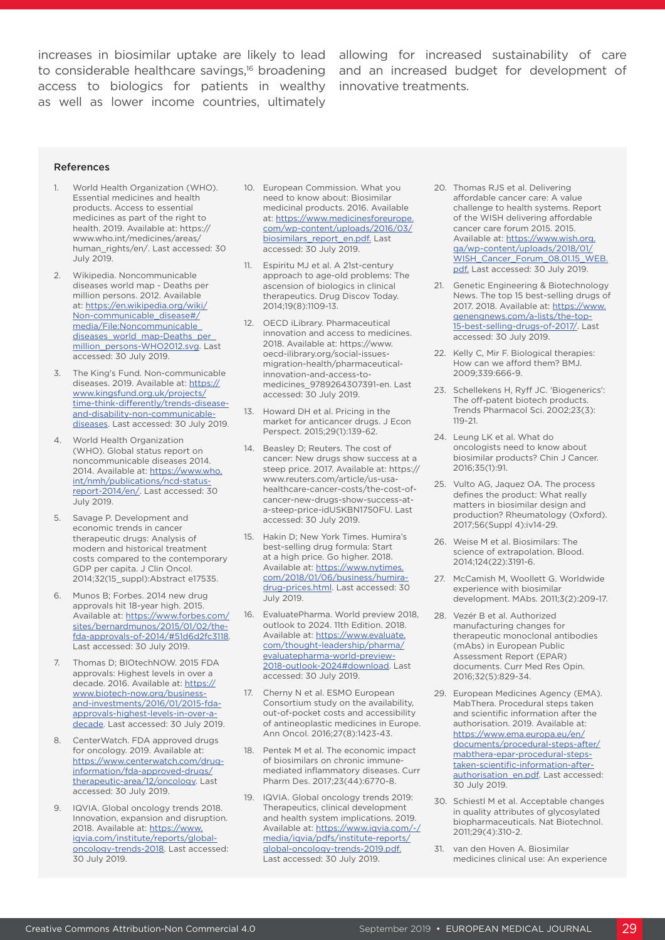access to biologics for patients in wealthy innovative treatments. as well as lower income countries, ultimately

increases in biosimilar uptake are likely to lead allowing for increased sustainability of care to considerable healthcare savings,<sup>16</sup> broadening and an increased budget for development of

#### References

- World Health Organization (WHO). Essential medicines and health products. Access to essential medicines as part of the right to health. 2019. Available at: https:// www.who.int/medicines/areas/ human\_rights/en/. Last accessed: 30 July 2019.
- 2. Wikipedia. Noncommunicable diseases world map - Deaths per million persons. 2012. Available at: [https://en.wikipedia.org/wiki/](https://en.wikipedia.org/wiki/Non-communicable_disease#/media/File:Noncommunicable_diseases_world_map-Deaths_per_million_persons-WHO2012.svg) [Non-communicable\\_disease#/](https://en.wikipedia.org/wiki/Non-communicable_disease#/media/File:Noncommunicable_diseases_world_map-Deaths_per_million_persons-WHO2012.svg) [media/File:Noncommunicable\\_](https://en.wikipedia.org/wiki/Non-communicable_disease#/media/File:Noncommunicable_diseases_world_map-Deaths_per_million_persons-WHO2012.svg) diseases\_world\_map-Deaths\_per [million\\_persons-WHO2012.svg](https://en.wikipedia.org/wiki/Non-communicable_disease#/media/File:Noncommunicable_diseases_world_map-Deaths_per_million_persons-WHO2012.svg). Last accessed: 30 July 2019.
- The King's Fund. Non-communicable diseases. 2019. Available at: [https://](https://www.kingsfund.org.uk/projects/time-think-differently/trends-disease-and-disability-non-communicable-diseases) [www.kingsfund.org.uk/projects/](https://www.kingsfund.org.uk/projects/time-think-differently/trends-disease-and-disability-non-communicable-diseases) [time-think-differently/trends-disease](https://www.kingsfund.org.uk/projects/time-think-differently/trends-disease-and-disability-non-communicable-diseases)[and-disability-non-communicable](https://www.kingsfund.org.uk/projects/time-think-differently/trends-disease-and-disability-non-communicable-diseases)[diseases.](https://www.kingsfund.org.uk/projects/time-think-differently/trends-disease-and-disability-non-communicable-diseases) Last accessed: 30 July 2019.
- 4. World Health Organization (WHO). Global status report on noncommunicable diseases 2014. 2014. Available at: [https://www.who.](https://www.who.int/nmh/publications/ncd-status-report-2014/en/) [int/nmh/publications/ncd-status](https://www.who.int/nmh/publications/ncd-status-report-2014/en/)[report-2014/en/.](https://www.who.int/nmh/publications/ncd-status-report-2014/en/) Last accessed: 30 July 2019.
- 5. Savage P. Development and economic trends in cancer therapeutic drugs: Analysis of modern and historical treatment costs compared to the contemporary GDP per capita. J Clin Oncol. 2014;32(15\_suppl):Abstract e17535.
- 6. Munos B; Forbes. 2014 new drug approvals hit 18-year high. 2015. Available at: [https://www.forbes.com/](https://www.forbes.com/sites/bernardmunos/2015/01/02/the-fda-approvals-of-2014/#7be728ee3118) [sites/bernardmunos/2015/01/02/the](https://www.forbes.com/sites/bernardmunos/2015/01/02/the-fda-approvals-of-2014/#7be728ee3118)[fda-approvals-of-2014/#51d6d2fc3118.](https://www.forbes.com/sites/bernardmunos/2015/01/02/the-fda-approvals-of-2014/#7be728ee3118) Last accessed: 30 July 2019.
- Thomas D; BIOtechNOW. 2015 FDA approvals: Highest levels in over a decade. 2016. Available at: [https://](https://www.biotech-now.org/business-and-investments/2016/01/2015-fda-approvals-highest-levels-in-over-a-decade) [www.biotech-now.org/business](https://www.biotech-now.org/business-and-investments/2016/01/2015-fda-approvals-highest-levels-in-over-a-decade)[and-investments/2016/01/2015-fda](https://www.biotech-now.org/business-and-investments/2016/01/2015-fda-approvals-highest-levels-in-over-a-decade)[approvals-highest-levels-in-over-a](https://www.biotech-now.org/business-and-investments/2016/01/2015-fda-approvals-highest-levels-in-over-a-decade)[decade.](https://www.biotech-now.org/business-and-investments/2016/01/2015-fda-approvals-highest-levels-in-over-a-decade) Last accessed: 30 July 2019.
- 8. CenterWatch. FDA approved drugs for oncology. 2019. Available at: [https://www.centerwatch.com/drug](https://www.centerwatch.com/drug-information/fda-approved-drugs/therapeutic-area/12/oncology)[information/fda-approved-drugs/](https://www.centerwatch.com/drug-information/fda-approved-drugs/therapeutic-area/12/oncology) [therapeutic-area/12/oncology](https://www.centerwatch.com/drug-information/fda-approved-drugs/therapeutic-area/12/oncology). Last accessed: 30 July 2019.
- 9. IQVIA. Global oncology trends 2018. Innovation, expansion and disruption. 2018. Available at: [https://www.](https://www.iqvia.com/institute/reports/global-oncology-trends-2018) [iqvia.com/institute/reports/global](https://www.iqvia.com/institute/reports/global-oncology-trends-2018)[oncology-trends-2018.](https://www.iqvia.com/institute/reports/global-oncology-trends-2018) Last accessed: 30 July 2019.
- 10. European Commission. What you need to know about: Biosimilar medicinal products. 2016. Available at: [https://www.medicinesforeurope.](https://www.medicinesforeurope.com/wp-content/uploads/2016/03/biosimilars_report_en.pdf) [com/wp-content/uploads/2016/03/](https://www.medicinesforeurope.com/wp-content/uploads/2016/03/biosimilars_report_en.pdf) [biosimilars\\_report\\_en.pdf.](https://www.medicinesforeurope.com/wp-content/uploads/2016/03/biosimilars_report_en.pdf) Last accessed: 30 July 2019.
- 11. Espiritu MJ et al. A 21st-century approach to age-old problems: The ascension of biologics in clinical therapeutics. Drug Discov Today. 2014;19(8):1109-13.
- 12. OECD iLibrary. Pharmaceutical innovation and access to medicines. 2018. Available at: https://www. oecd-ilibrary.org/social-issuesmigration-health/pharmaceuticalinnovation-and-access-tomedicines\_9789264307391-en. Last accessed: 30 July 2019.
- 13. Howard DH et al. Pricing in the market for anticancer drugs. J Econ Perspect. 2015;29(1):139-62.
- 14. Beasley D; Reuters. The cost of cancer: New drugs show success at a steep price. 2017. Available at: https:// www.reuters.com/article/us-usahealthcare-cancer-costs/the-cost-ofcancer-new-drugs-show-success-ata-steep-price-idUSKBN1750FU. Last accessed: 30 July 2019.
- 15. Hakin D; New York Times. Humira's best-selling drug formula: Start at a high price. Go higher. 2018. Available at: [https://www.nytimes.](https://www.nytimes.com/2018/01/06/business/humira-drug-prices.html) [com/2018/01/06/business/humira](https://www.nytimes.com/2018/01/06/business/humira-drug-prices.html)[drug-prices.html](https://www.nytimes.com/2018/01/06/business/humira-drug-prices.html). Last accessed: 30 July 2019.
- 16. EvaluatePharma. World preview 2018, outlook to 2024. 11th Edition. 2018. Available at: [https://www.evaluate.](https://www.evaluate.com/thought-leadership/pharma/evaluatepharma-world-preview-2018-outlook-2024#download) [com/thought-leadership/pharma/](https://www.evaluate.com/thought-leadership/pharma/evaluatepharma-world-preview-2018-outlook-2024#download) [evaluatepharma-world-preview-](https://www.evaluate.com/thought-leadership/pharma/evaluatepharma-world-preview-2018-outlook-2024#download)[2018-outlook-2024#download](https://www.evaluate.com/thought-leadership/pharma/evaluatepharma-world-preview-2018-outlook-2024#download). Last accessed: 30 July 2019.
- 17. Cherny N et al. ESMO European Consortium study on the availability, out-of-pocket costs and accessibility of antineoplastic medicines in Europe. Ann Oncol. 2016;27(8):1423-43.
- 18. Pentek M et al. The economic impact of biosimilars on chronic immunemediated inflammatory diseases. Curr Pharm Des. 2017;23(44):6770-8.
- 19. IQVIA. Global oncology trends 2019: Therapeutics, clinical development and health system implications. 2019. Available at: [https://www.iqvia.com/-/](https://www.iqvia.com/error-pages/internalerror?aspxerrorpath=/-/media/iqvia/pdfs/institute-reports/global-oncology-trends-2019.pdf.) [media/iqvia/pdfs/institute-reports/](https://www.iqvia.com/error-pages/internalerror?aspxerrorpath=/-/media/iqvia/pdfs/institute-reports/global-oncology-trends-2019.pdf.) [global-oncology-trends-2019.pdf.](https://www.iqvia.com/error-pages/internalerror?aspxerrorpath=/-/media/iqvia/pdfs/institute-reports/global-oncology-trends-2019.pdf.) Last accessed: 30 July 2019.
- 20. Thomas RJS et al. Delivering affordable cancer care: A value challenge to health systems. Report of the WISH delivering affordable cancer care forum 2015. 2015. Available at: [https://www.wish.org.](https://www.wish.org.qa/wp-content/uploads/2018/01/WISH_Cancer_Forum_08.01.15_WEB.pdf.) [qa/wp-content/uploads/2018/01/](https://www.wish.org.qa/wp-content/uploads/2018/01/WISH_Cancer_Forum_08.01.15_WEB.pdf.) [WISH\\_Cancer\\_Forum\\_08.01.15\\_WEB.](https://www.wish.org.qa/wp-content/uploads/2018/01/WISH_Cancer_Forum_08.01.15_WEB.pdf.) [pdf.](https://www.wish.org.qa/wp-content/uploads/2018/01/WISH_Cancer_Forum_08.01.15_WEB.pdf.) Last accessed: 30 July 2019.
- 21. Genetic Engineering & Biotechnology News. The top 15 best-selling drugs of 2017. 2018. Available at: [https://www.](https://www.genengnews.com/a-lists/the-top-15-best-selling-drugs-of-2017/) [genengnews.com/a-lists/the-top-](https://www.genengnews.com/a-lists/the-top-15-best-selling-drugs-of-2017/)[15-best-selling-drugs-of-2017/.](https://www.genengnews.com/a-lists/the-top-15-best-selling-drugs-of-2017/) Last accessed: 30 July 2019.
- 22. Kelly C, Mir F. Biological therapies: How can we afford them? BMJ. 2009;339:666-9.
- 23. Schellekens H, Ryff JC. 'Biogenerics': The off-patent biotech products. Trends Pharmacol Sci. 2002;23(3): 119-21.
- 24. Leung LK et al. What do oncologists need to know about biosimilar products? Chin J Cancer. 2016;35(1):91.
- 25. Vulto AG, Jaquez OA. The process defines the product: What really matters in biosimilar design and production? Rheumatology (Oxford). 2017;56(Suppl 4):iv14-29.
- 26. Weise M et al. Biosimilars: The science of extrapolation. Blood. 2014;124(22):3191-6.
- 27. McCamish M, Woollett G. Worldwide experience with biosimilar development. MAbs. 2011;3(2):209-17.
- 28. Vezér B et al. Authorized manufacturing changes for therapeutic monoclonal antibodies (mAbs) in European Public Assessment Report (EPAR) documents. Curr Med Res Opin. 2016;32(5):829-34.
- 29. European Medicines Agency (EMA). MabThera. Procedural steps taken and scientific information after the authorisation. 2019. Available at: [https://www.ema.europa.eu/en/](https://www.ema.europa.eu/en/documents/procedural-steps-after/mabthera-epar-procedural-steps-taken-scientific-information-after-authorisation_en.pdf) [documents/procedural-steps-after/](https://www.ema.europa.eu/en/documents/procedural-steps-after/mabthera-epar-procedural-steps-taken-scientific-information-after-authorisation_en.pdf) [mabthera-epar-procedural-steps](https://www.ema.europa.eu/en/documents/procedural-steps-after/mabthera-epar-procedural-steps-taken-scientific-information-after-authorisation_en.pdf)[taken-scientific-information-after](https://www.ema.europa.eu/en/documents/procedural-steps-after/mabthera-epar-procedural-steps-taken-scientific-information-after-authorisation_en.pdf)[authorisation\\_en.pdf.](https://www.ema.europa.eu/en/documents/procedural-steps-after/mabthera-epar-procedural-steps-taken-scientific-information-after-authorisation_en.pdf) Last accessed: 30 July 2019.
- 30. Schiestl M et al. Acceptable changes in quality attributes of glycosylated biopharmaceuticals. Nat Biotechnol. 2011;29(4):310-2.
- 31. van den Hoven A. Biosimilar medicines clinical use: An experience